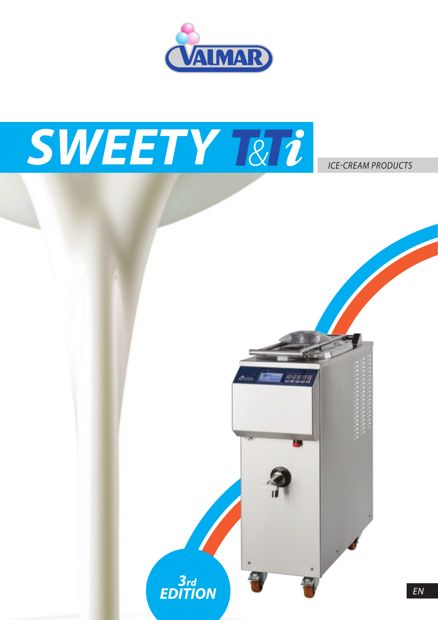

# SWEETY RII

*ICE-CREAM PRODUCTS*

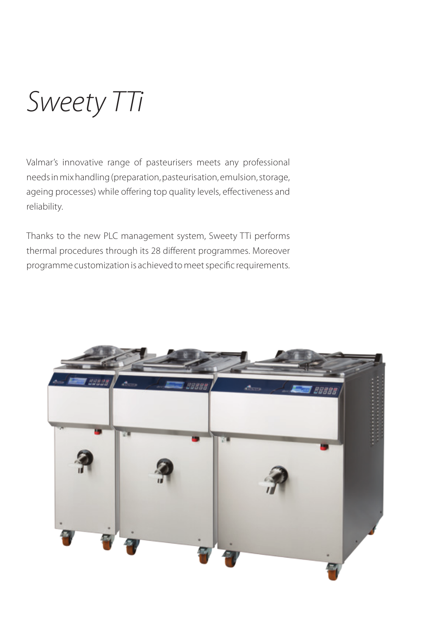*Sweety TTi*

Valmar's innovative range of pasteurisers meets any professional needs in mix handling (preparation, pasteurisation, emulsion, storage, ageing processes) while offering top quality levels, effectiveness and reliability.

Thanks to the new PLC management system, Sweety TTi performs thermal procedures through its 28 different programmes. Moreover programme customization is achieved to meet specific requirements.

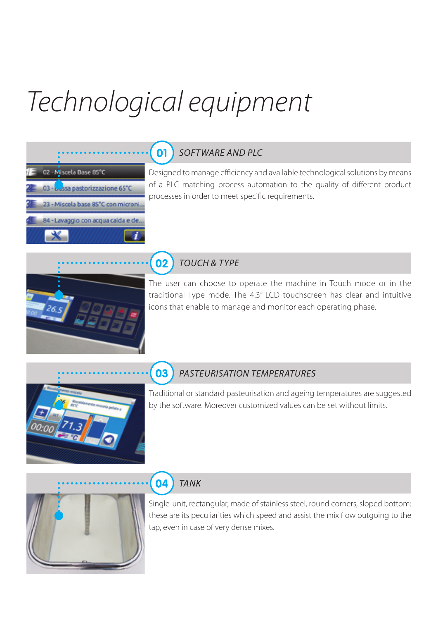## *Technological equipment*



#### $01$ *SOFTWARE AND PLC*

Designed to manage efficiency and available technological solutions by means of a PLC matching process automation to the quality of different product processes in order to meet specific requirements.

#### $02$ *TOUCH & TYPE*

The user can choose to operate the machine in Touch mode or in the traditional Type mode. The 4.3" LCD touchscreen has clear and intuitive icons that enable to manage and monitor each operating phase.



 $\begin{array}{c} 26.5 \end{array}$ 

#### 03 *PasteurisATION TEMPERATURES*

Traditional or standard pasteurisation and ageing temperatures are suggested by the software. Moreover customized values can be set without limits.



#### 04 *TANK*

Single-unit, rectangular, made of stainless steel, round corners, sloped bottom: these are its peculiarities which speed and assist the mix flow outgoing to the tap, even in case of very dense mixes.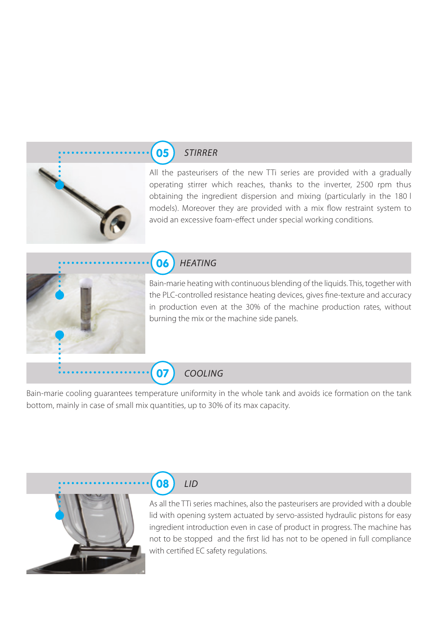#### 05 *STIRRER*

All the pasteurisers of the new TTi series are provided with a gradually operating stirrer which reaches, thanks to the inverter, 2500 rpm thus obtaining the ingredient dispersion and mixing (particularly in the 180 l models). Moreover they are provided with a mix flow restraint system to avoid an excessive foam-effect under special working conditions.



#### $06$ *HEATING*

Bain-marie heating with continuous blending of the liquids. This, together with the PLC-controlled resistance heating devices, gives fine-texture and accuracy in production even at the 30% of the machine production rates, without burning the mix or the machine side panels.

#### *COOLING*

07

Bain-marie cooling guarantees temperature uniformity in the whole tank and avoids ice formation on the tank bottom, mainly in case of small mix quantities, up to 30% of its max capacity.



#### 08 *LID*

As all the TTi series machines, also the pasteurisers are provided with a double lid with opening system actuated by servo-assisted hydraulic pistons for easy ingredient introduction even in case of product in progress. The machine has not to be stopped and the first lid has not to be opened in full compliance with certified EC safety regulations.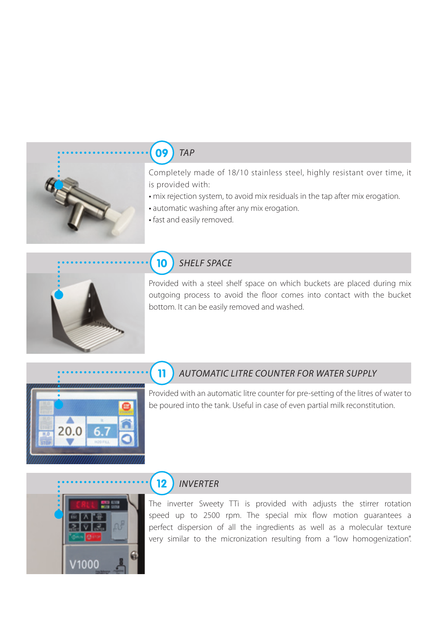

#### 09 *TAP*

Completely made of 18/10 stainless steel, highly resistant over time, it is provided with:

- mix rejection system, to avoid mix residuals in the tap after mix erogation.
- automatic washing after any mix erogation.
- fast and easily removed.



#### 10 *SHELF SPACE*

Provided with a steel shelf space on which buckets are placed during mix outgoing process to avoid the floor comes into contact with the bucket bottom. It can be easily removed and washed.



#### $\mathbf{1}$ *AUTOMATIC LITRE COUNTER FOR WATER SUPPLY*

Provided with an automatic litre counter for pre-setting of the litres of water to be poured into the tank. Useful in case of even partial milk reconstitution.



#### $12$ *inverter*

The inverter Sweety TTi is provided with adjusts the stirrer rotation speed up to 2500 rpm. The special mix flow motion guarantees a perfect dispersion of all the ingredients as well as a molecular texture very similar to the micronization resulting from a "low homogenization".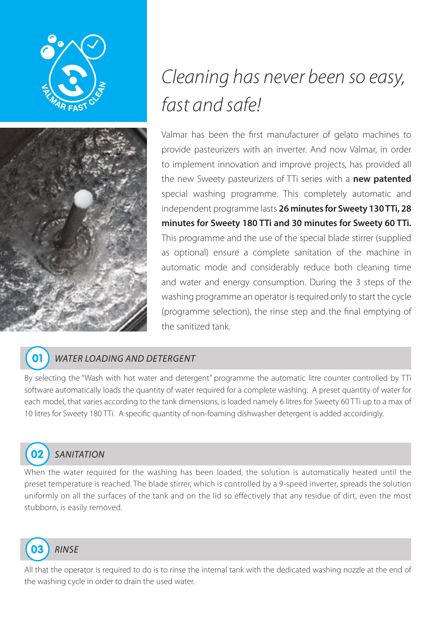



## *Cleaning has never been so easy, fast and safe!*

Valmar has been the first manufacturer of gelato machines to provide pasteurizers with an inverter. And now Valmar, in order to implement innovation and improve projects, has provided all the new Sweety pasteurizers of TTi series with a **new patented**  special washing programme. This completely automatic and independent programme lasts **26 minutes for Sweety 130 TTi, 28 minutes for Sweety 180 TTi and 30 minutes for Sweety 60 TTi.** This programme and the use of the special blade stirrer (supplied as optional) ensure a complete sanitation of the machine in automatic mode and considerably reduce both cleaning time and water and energy consumption. During the 3 steps of the washing programme an operator is required only to start the cycle (programme selection), the rinse step and the final emptying of the sanitized tank.



#### *WATER LOADING AND DETERGENT*

By selecting the "Wash with hot water and detergent" programme the automatic litre counter controlled by TTi software automatically loads the quantity of water required for a complete washing. A preset quantity of water for each model, that varies according to the tank dimensions, is loaded namely 6 litres for Sweety 60 TTi up to a max of 10 litres for Sweety 180 TTi. A specific quantity of non-foaming dishwasher detergent is added accordingly.



#### *SANITATION*

When the water required for the washing has been loaded, the solution is automatically heated until the preset temperature is reached. The blade stirrer, which is controlled by a 9-speed inverter, spreads the solution uniformly on all the surfaces of the tank and on the lid so effectively that any residue of dirt, even the most stubborn, is easily removed.



All that the operator is required to do is to rinse the internal tank with the dedicated washing nozzle at the end of the washing cycle in order to drain the used water.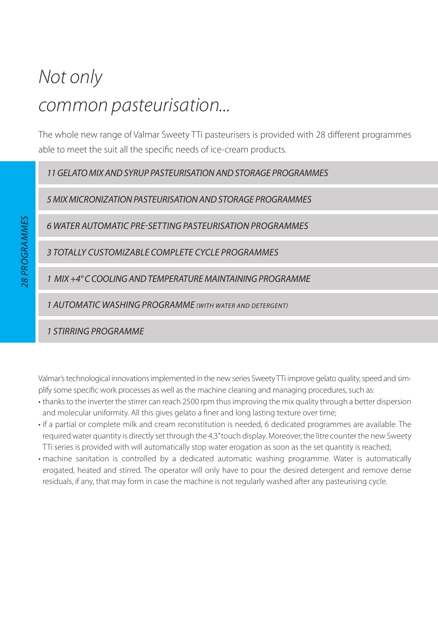## *Not only common pasteurisation...*

The whole new range of Valmar Sweety TTi pasteurisers is provided with 28 different programmes able to meet the suit all the specific needs of ice-cream products.

*11 gelatomix andsyrup pasteurisation andstorage programmes*

*5 mix micronization pasteurisation andstorage programmes*

*6 water automatic pre-setting pasteurisation programmes*

*3 totally customizable complete cycle programmes*

1 MIX +4° C COOLING AND TEMPERATURE MAINTAINING PROGRAMME

*1 automatic washing programme (with water and detergent)*

*1 stirring programme*

Valmar's technological innovations implemented in the new series Sweety TTi improve gelato quality, speed and simplify some specific work processes as well as the machine cleaning and managing procedures, such as:

- thanks to the inverter the stirrer can reach 2500 rpm thus improving the mix quality through a better dispersion and molecular uniformity. All this gives gelato a finer and long lasting texture over time;
- if a partial or complete milk and cream reconstitution is needed, 6 dedicated programmes are available. The required water quantity is directly set through the 4,3" touch display. Moreover, the litre counter the new Sweety TTi series is provided with will automatically stop water erogation as soon as the set quantity is reached;
- machine sanitation is controlled by a dedicated automatic washing programme. Water is automatically erogated, heated and stirred. The operator will only have to pour the desired detergent and remove dense residuals, if any, that may form in case the machine is not regularly washed after any pasteurising cycle.